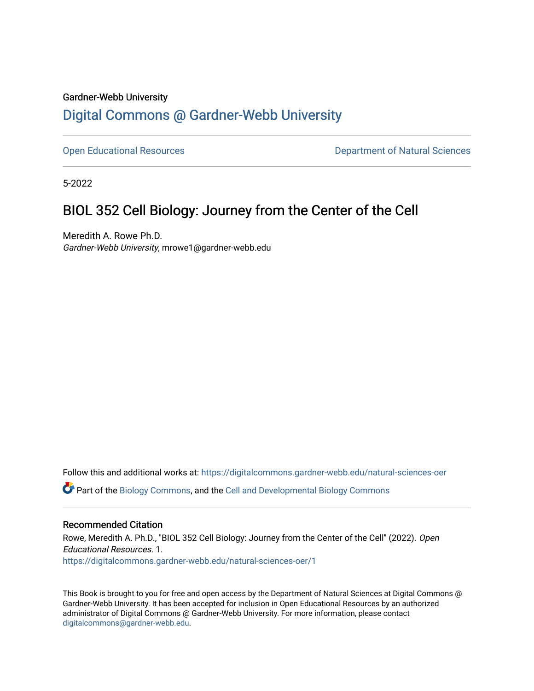# Gardner-Webb University [Digital Commons @ Gardner-Webb University](https://digitalcommons.gardner-webb.edu/)

[Open Educational Resources](https://digitalcommons.gardner-webb.edu/natural-sciences-oer) **Department of Natural Sciences** 

5-2022

# BIOL 352 Cell Biology: Journey from the Center of the Cell

Meredith A. Rowe Ph.D. Gardner-Webb University, mrowe1@gardner-webb.edu

Follow this and additional works at: [https://digitalcommons.gardner-webb.edu/natural-sciences-oer](https://digitalcommons.gardner-webb.edu/natural-sciences-oer?utm_source=digitalcommons.gardner-webb.edu%2Fnatural-sciences-oer%2F1&utm_medium=PDF&utm_campaign=PDFCoverPages)

Part of the [Biology Commons,](https://network.bepress.com/hgg/discipline/41?utm_source=digitalcommons.gardner-webb.edu%2Fnatural-sciences-oer%2F1&utm_medium=PDF&utm_campaign=PDFCoverPages) and the [Cell and Developmental Biology Commons](https://network.bepress.com/hgg/discipline/8?utm_source=digitalcommons.gardner-webb.edu%2Fnatural-sciences-oer%2F1&utm_medium=PDF&utm_campaign=PDFCoverPages)

#### Recommended Citation

Rowe, Meredith A. Ph.D., "BIOL 352 Cell Biology: Journey from the Center of the Cell" (2022). Open Educational Resources. 1. [https://digitalcommons.gardner-webb.edu/natural-sciences-oer/1](https://digitalcommons.gardner-webb.edu/natural-sciences-oer/1?utm_source=digitalcommons.gardner-webb.edu%2Fnatural-sciences-oer%2F1&utm_medium=PDF&utm_campaign=PDFCoverPages) 

This Book is brought to you for free and open access by the Department of Natural Sciences at Digital Commons @ Gardner-Webb University. It has been accepted for inclusion in Open Educational Resources by an authorized administrator of Digital Commons @ Gardner-Webb University. For more information, please contact [digitalcommons@gardner-webb.edu](mailto:digitalcommons@gardner-webb.edu).